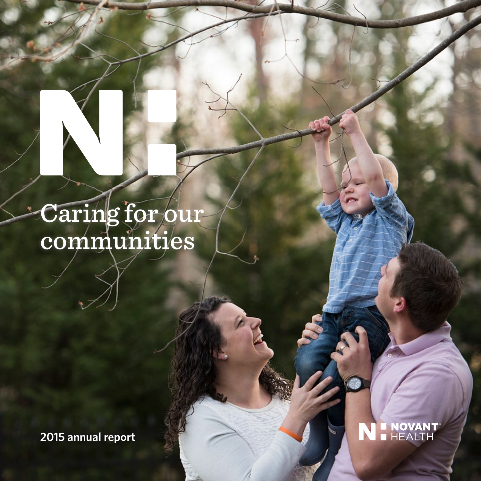# Caring for our communities

**2015 annual report** 

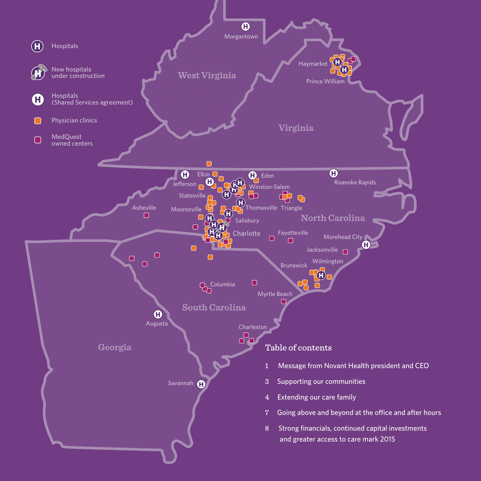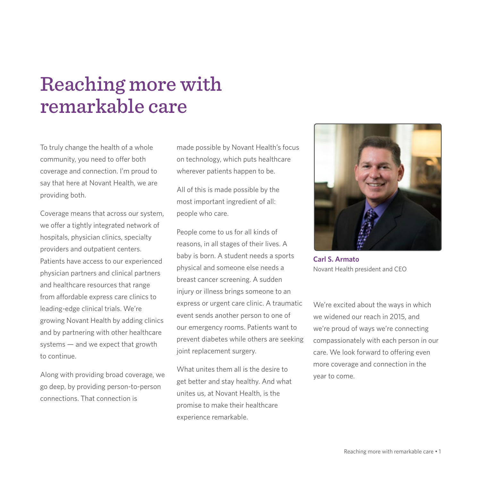## Reaching more with remarkable care

To truly change the health of a whole community, you need to offer both coverage and connection. I'm proud to say that here at Novant Health, we are providing both.

Coverage means that across our system, we offer a tightly integrated network of hospitals, physician clinics, specialty providers and outpatient centers. Patients have access to our experienced physician partners and clinical partners and healthcare resources that range from affordable express care clinics to leading-edge clinical trials. We're growing Novant Health by adding clinics and by partnering with other healthcare systems — and we expect that growth to continue.

Along with providing broad coverage, we go deep, by providing person-to-person connections. That connection is

made possible by Novant Health's focus on technology, which puts healthcare wherever patients happen to be.

All of this is made possible by the most important ingredient of all: people who care.

People come to us for all kinds of reasons, in all stages of their lives. A baby is born. A student needs a sports physical and someone else needs a breast cancer screening. A sudden injury or illness brings someone to an express or urgent care clinic. A traumatic event sends another person to one of our emergency rooms. Patients want to prevent diabetes while others are seeking joint replacement surgery.

What unites them all is the desire to get better and stay healthy. And what unites us, at Novant Health, is the promise to make their healthcare experience remarkable.



**Carl S. Armato**  Novant Health president and CEO

We're excited about the ways in which we widened our reach in 2015, and we're proud of ways we're connecting compassionately with each person in our care. We look forward to offering even more coverage and connection in the year to come.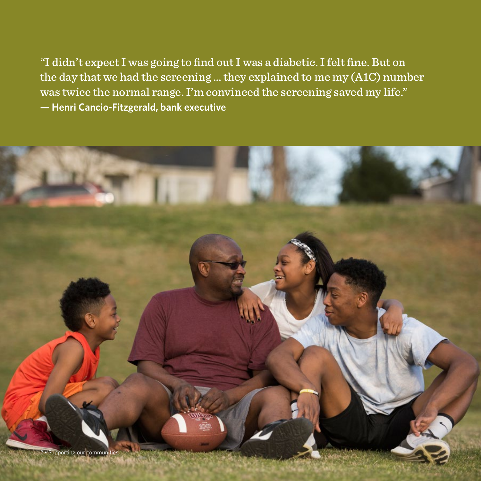"I didn't expect I was going to find out I was a diabetic. I felt fine. But on the day that we had the screening … they explained to me my (A1C) number was twice the normal range. I'm convinced the screening saved my life." **— Henri Cancio-Fitzgerald, bank executive**

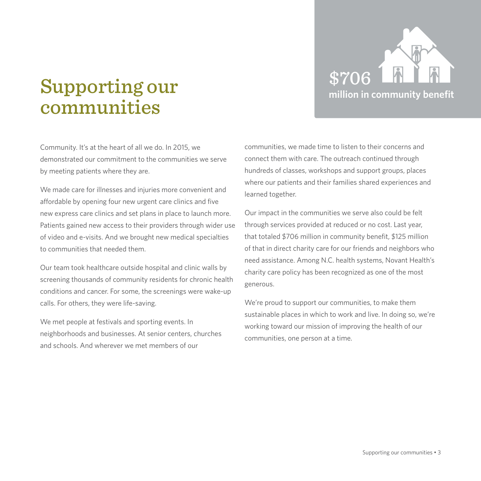

## Supporting our communities

Community. It's at the heart of all we do. In 2015, we demonstrated our commitment to the communities we serve by meeting patients where they are.

We made care for illnesses and injuries more convenient and affordable by opening four new urgent care clinics and five new express care clinics and set plans in place to launch more. Patients gained new access to their providers through wider use of video and e-visits. And we brought new medical specialties to communities that needed them.

Our team took healthcare outside hospital and clinic walls by screening thousands of community residents for chronic health conditions and cancer. For some, the screenings were wake-up calls. For others, they were life-saving.

We met people at festivals and sporting events. In neighborhoods and businesses. At senior centers, churches and schools. And wherever we met members of our

communities, we made time to listen to their concerns and connect them with care. The outreach continued through hundreds of classes, workshops and support groups, places where our patients and their families shared experiences and learned together.

Our impact in the communities we serve also could be felt through services provided at reduced or no cost. Last year, that totaled \$706 million in community benefit, \$125 million of that in direct charity care for our friends and neighbors who need assistance. Among N.C. health systems, Novant Health's charity care policy has been recognized as one of the most generous.

We're proud to support our communities, to make them sustainable places in which to work and live. In doing so, we're working toward our mission of improving the health of our communities, one person at a time.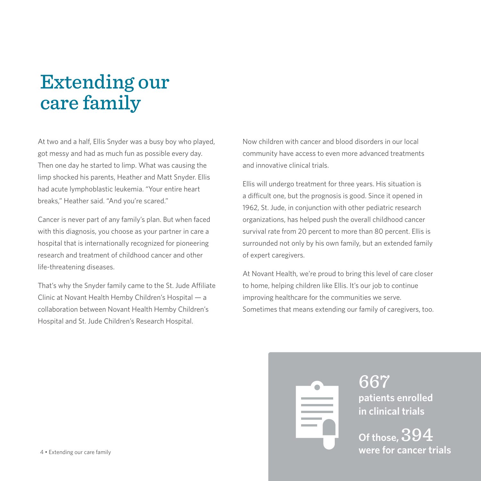## Extending our care family

At two and a half, Ellis Snyder was a busy boy who played, got messy and had as much fun as possible every day. Then one day he started to limp. What was causing the limp shocked his parents, Heather and Matt Snyder. Ellis had acute lymphoblastic leukemia. "Your entire heart breaks," Heather said. "And you're scared."

Cancer is never part of any family's plan. But when faced with this diagnosis, you choose as your partner in care a hospital that is internationally recognized for pioneering research and treatment of childhood cancer and other life-threatening diseases.

That's why the Snyder family came to the St. Jude Affiliate Clinic at Novant Health Hemby Children's Hospital — a collaboration between Novant Health Hemby Children's Hospital and St. Jude Children's Research Hospital.

Now children with cancer and blood disorders in our local community have access to even more advanced treatments and innovative clinical trials.

Ellis will undergo treatment for three years. His situation is a difficult one, but the prognosis is good. Since it opened in 1962, St. Jude, in conjunction with other pediatric research organizations, has helped push the overall childhood cancer survival rate from 20 percent to more than 80 percent. Ellis is surrounded not only by his own family, but an extended family of expert caregivers.

At Novant Health, we're proud to bring this level of care closer to home, helping children like Ellis. It's our job to continue improving healthcare for the communities we serve. Sometimes that means extending our family of caregivers, too.



667 **patients enrolled in clinical trials**

**Of those,** 394 4 • Extending our care family **were for cancer trials**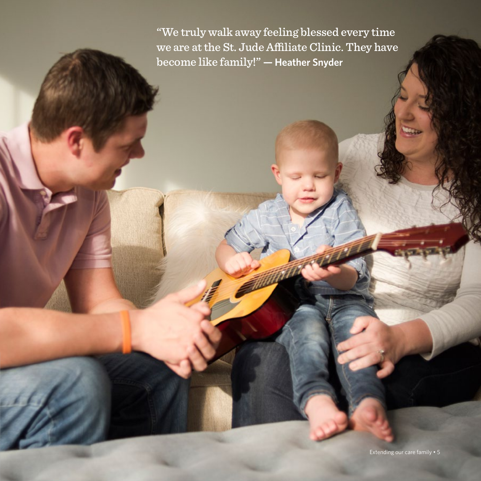"We truly walk away feeling blessed every time we are at the St. Jude Affiliate Clinic. They have become like family!" **— Heather Snyder**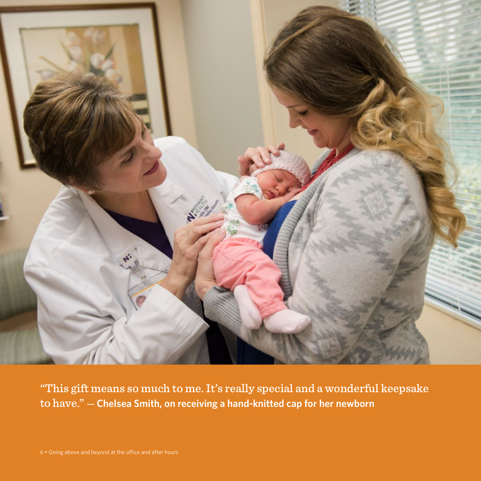

"This gift means so much to me. It's really special and a wonderful keepsake to have." — **Chelsea Smith, on receiving a hand-knitted cap for her newborn**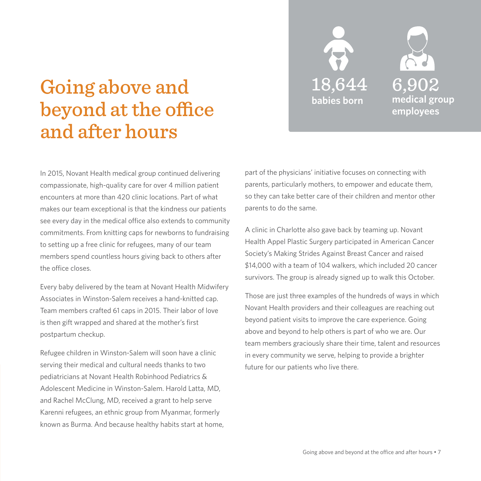

## Going above and beyond at the office and after hours

In 2015, Novant Health medical group continued delivering compassionate, high-quality care for over 4 million patient encounters at more than 420 clinic locations. Part of what makes our team exceptional is that the kindness our patients see every day in the medical office also extends to community commitments. From knitting caps for newborns to fundraising to setting up a free clinic for refugees, many of our team members spend countless hours giving back to others after the office closes.

Every baby delivered by the team at Novant Health Midwifery Associates in Winston-Salem receives a hand-knitted cap. Team members crafted 61 caps in 2015. Their labor of love is then gift wrapped and shared at the mother's first postpartum checkup.

Refugee children in Winston-Salem will soon have a clinic serving their medical and cultural needs thanks to two pediatricians at Novant Health Robinhood Pediatrics & Adolescent Medicine in Winston-Salem. Harold Latta, MD, and Rachel McClung, MD, received a grant to help serve Karenni refugees, an ethnic group from Myanmar, formerly known as Burma. And because healthy habits start at home, part of the physicians' initiative focuses on connecting with parents, particularly mothers, to empower and educate them, so they can take better care of their children and mentor other parents to do the same.

A clinic in Charlotte also gave back by teaming up. Novant Health Appel Plastic Surgery participated in American Cancer Society's Making Strides Against Breast Cancer and raised \$14,000 with a team of 104 walkers, which included 20 cancer survivors. The group is already signed up to walk this October.

Those are just three examples of the hundreds of ways in which Novant Health providers and their colleagues are reaching out beyond patient visits to improve the care experience. Going above and beyond to help others is part of who we are. Our team members graciously share their time, talent and resources in every community we serve, helping to provide a brighter future for our patients who live there.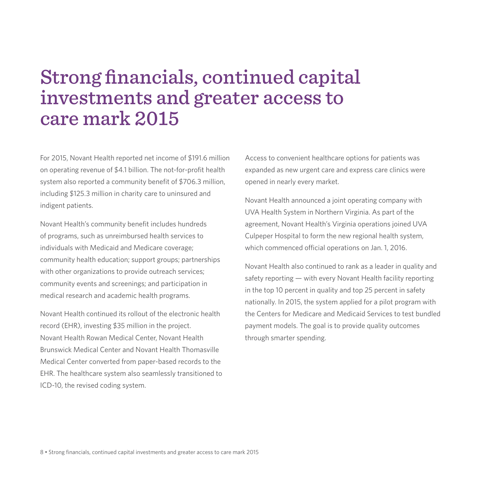## Strong financials, continued capital investments and greater access to care mark 2015

For 2015, Novant Health reported net income of \$191.6 million on operating revenue of \$4.1 billion. The not-for-profit health system also reported a community benefit of \$706.3 million, including \$125.3 million in charity care to uninsured and indigent patients.

Novant Health's community benefit includes hundreds of programs, such as unreimbursed health services to individuals with Medicaid and Medicare coverage; community health education; support groups; partnerships with other organizations to provide outreach services; community events and screenings; and participation in medical research and academic health programs.

Novant Health continued its rollout of the electronic health record (EHR), investing \$35 million in the project. Novant Health Rowan Medical Center, Novant Health Brunswick Medical Center and Novant Health Thomasville Medical Center converted from paper-based records to the EHR. The healthcare system also seamlessly transitioned to ICD-10, the revised coding system.

Access to convenient healthcare options for patients was expanded as new urgent care and express care clinics were opened in nearly every market.

Novant Health announced a joint operating company with UVA Health System in Northern Virginia. As part of the agreement, Novant Health's Virginia operations joined UVA Culpeper Hospital to form the new regional health system, which commenced official operations on Jan. 1, 2016.

Novant Health also continued to rank as a leader in quality and safety reporting - with every Novant Health facility reporting in the top 10 percent in quality and top 25 percent in safety nationally. In 2015, the system applied for a pilot program with the Centers for Medicare and Medicaid Services to test bundled payment models. The goal is to provide quality outcomes through smarter spending.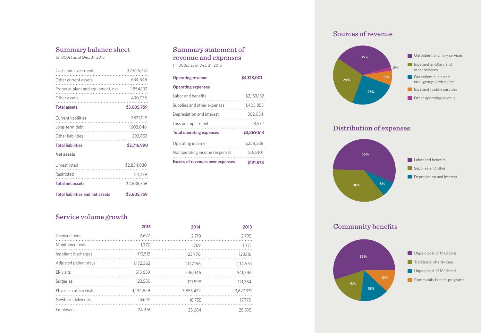### Summary balance sheet

(in 000s) as of Dec. 31, 2015

| Cash and investments                         | \$2,626,774 |
|----------------------------------------------|-------------|
| Other current assets                         | 634,848     |
| Property, plant and equipment, net 1,854,102 |             |
| Other assets                                 | 490,035     |
| <b>Total assets</b>                          | \$5,605,759 |
| Current liabilities                          | \$821,091   |
| Long-term debt                               | 1,603,046   |
| Other liabilities                            | 292,853     |
| <b>Total liabilities</b>                     | \$2,716,990 |
| Net assets                                   |             |
| Unrestricted                                 | \$2,834,030 |
| Restricted                                   | 54,739      |

### Summary statement of revenue and expenses (in 000s) as of Dec. 31, 2015

| <b>Operating revenue</b>                | \$4,128,001 |  |  |
|-----------------------------------------|-------------|--|--|
| <b>Operating expenses</b>               |             |  |  |
| Labor and benefits                      | \$2,153,132 |  |  |
| Supplies and other expenses             | 1,405,855   |  |  |
| Depreciation and interest               | 302.054     |  |  |
| Loss on impairment                      | 8.572       |  |  |
| <b>Total operating expenses</b>         | \$3,869,613 |  |  |
| Operating income                        | \$258,388   |  |  |
| Nonoperating income (expense)           | (66, 810)   |  |  |
| <b>Excess of revenues over expenses</b> | \$191,578   |  |  |

### Sources of revenue



Distribution of expenses



### Community benefits



### Service volume growth

**Total liabilities and net assets**

**Total net assets**

|                         | 2015      | 2014      | 2013      |
|-------------------------|-----------|-----------|-----------|
| Licensed beds           | 2.627     | 2.710     | 2.795     |
| Maintained beds         | 1.770     | 1.769     | 1.771     |
| Inpatient discharges    | 119,512   | 123,770   | 123,116   |
| Adjusted patient days   | 1,172,363 | 1.147.156 | 1.114.578 |
| ER visits               | 515,659   | 536,046   | 541,346   |
| Surgeries               | 123,550   | 121,598   | 121,784   |
| Physician office visits | 4,144,859 | 3,853,472 | 3.627.331 |
| Newborn deliveries      | 18,644    | 18,755    | 17.779    |
| Employees               | 24,376    | 25,684    | 25,595    |

\$2,888,769

 **\$5,605,759**